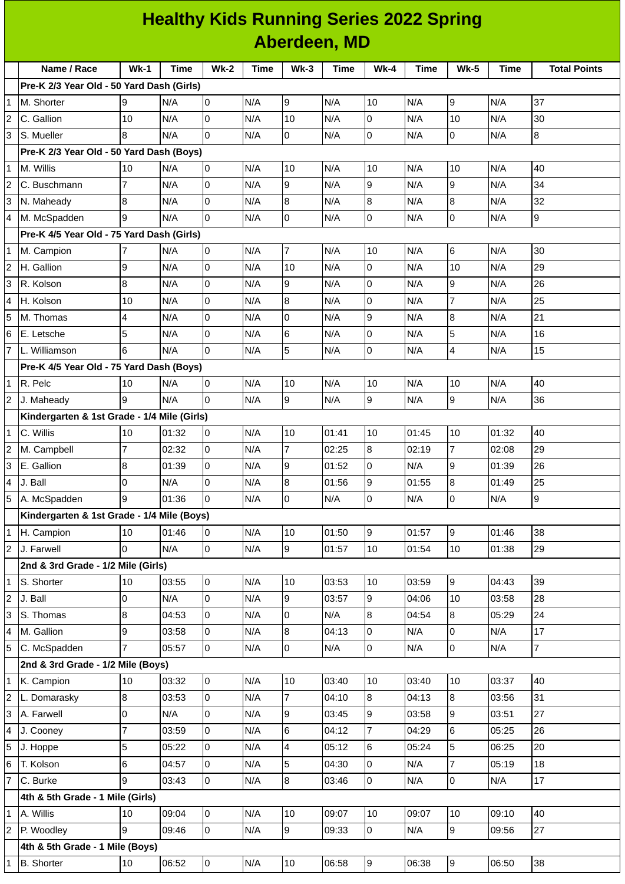|                | <b>Healthy Kids Running Series 2022 Spring</b> |                |       |                |      |                |       |                |       |                  |       |                     |
|----------------|------------------------------------------------|----------------|-------|----------------|------|----------------|-------|----------------|-------|------------------|-------|---------------------|
|                | Aberdeen, MD                                   |                |       |                |      |                |       |                |       |                  |       |                     |
|                | Name / Race                                    | $Wk-1$         | Time  | $Wk-2$         | Time | $Wk-3$         | Time  | <b>Wk-4</b>    | Time  | <b>Wk-5</b>      | Time  | <b>Total Points</b> |
|                | Pre-K 2/3 Year Old - 50 Yard Dash (Girls)      |                |       |                |      |                |       |                |       |                  |       |                     |
| $\overline{1}$ | M. Shorter                                     | 9              | N/A   | 0              | N/A  | 9              | N/A   | 10             | N/A   | 9                | N/A   | 37                  |
| $\overline{2}$ | C. Gallion                                     | 10             | N/A   | l0             | N/A  | 10             | N/A   | l0             | N/A   | 10               | N/A   | 30                  |
| 3              | S. Mueller                                     | 8              | N/A   | 0              | N/A  | 0              | N/A   | 0              | N/A   | 0                | N/A   | 8                   |
|                | Pre-K 2/3 Year Old - 50 Yard Dash (Boys)       |                |       |                |      |                |       |                |       |                  |       |                     |
| $\overline{1}$ | M. Willis                                      | 10             | N/A   | 0              | N/A  | 10             | N/A   | 10             | N/A   | 10               | N/A   | 40                  |
| $\overline{2}$ | C. Buschmann                                   | $\overline{7}$ | N/A   | l0             | N/A  | 9              | N/A   | 9              | N/A   | 9                | N/A   | 34                  |
| 3              | N. Maheady                                     | 8              | N/A   | 0              | N/A  | 8              | N/A   | 8              | N/A   | 8                | N/A   | 32                  |
| $\overline{4}$ | M. McSpadden                                   | 9              | N/A   | 0              | N/A  | 0              | N/A   | 0              | N/A   | 0                | N/A   | 9                   |
|                | Pre-K 4/5 Year Old - 75 Yard Dash (Girls)      |                |       |                |      |                |       |                |       |                  |       |                     |
| $\mathbf 1$    | M. Campion                                     | 7              | N/A   | 0              | N/A  | 7              | N/A   | 10             | N/A   | 6                | N/A   | 30                  |
| $\overline{2}$ | H. Gallion                                     | 9              | N/A   | 0              | N/A  | 10             | N/A   | 0              | N/A   | 10               | N/A   | 29                  |
| 3              | R. Kolson                                      | 8              | N/A   | l0             | N/A  | 9              | N/A   | Iо             | N/A   | 9                | N/A   | 26                  |
| $\overline{4}$ | H. Kolson                                      | 10             | N/A   | $\overline{0}$ | N/A  | 8              | N/A   | 0              | N/A   | $\overline{7}$   | N/A   | 25                  |
| 5              | M. Thomas                                      | 4              | N/A   | 0              | N/A  | 0              | N/A   | 9              | N/A   | $\boldsymbol{8}$ | N/A   | 21                  |
| 6              | E. Letsche                                     | 5              | N/A   | 0              | N/A  | 6              | N/A   | Iо             | N/A   | 5                | N/A   | 16                  |
| $\overline{7}$ | L. Williamson                                  | 6              | N/A   | l0             | N/A  | 5              | N/A   | 0              | N/A   | 4                | N/A   | 15                  |
|                | Pre-K 4/5 Year Old - 75 Yard Dash (Boys)       |                |       |                |      |                |       |                |       |                  |       |                     |
| $\overline{1}$ | R. Pelc                                        | 10             | N/A   | 0              | N/A  | 10             | N/A   | 10             | N/A   | 10               | N/A   | 40                  |
| $\overline{2}$ | J. Maheady                                     | 9              | N/A   | 0              | N/A  | 9              | N/A   | 9              | N/A   | 9                | N/A   | 36                  |
|                | Kindergarten & 1st Grade - 1/4 Mile (Girls)    |                |       |                |      |                |       |                |       |                  |       |                     |
| $\mathbf 1$    | C. Willis                                      | 10             | 01:32 | 0              | N/A  | 10             | 01:41 | 10             | 01:45 | 10               | 01:32 | 40                  |
| $\overline{2}$ | M. Campbell                                    | $\overline{7}$ | 02:32 | 0              | N/A  | $\overline{7}$ | 02:25 | 8              | 02:19 | 7                | 02:08 | 29                  |
| 3              | E. Gallion                                     | 8              | 01:39 | 0              | N/A  | 9              | 01:52 | 0              | N/A   | 9                | 01:39 | 26                  |
| $\overline{4}$ | J. Ball                                        | 0              | N/A   | l0             | N/A  | 8              | 01:56 | 9              | 01:55 | $\bf{8}$         | 01:49 | 25                  |
| 5              | A. McSpadden                                   | 9              | 01:36 | $\Omega$       | N/A  | $\overline{0}$ | N/A   | l0             | N/A   | 0                | N/A   | $\overline{9}$      |
|                | Kindergarten & 1st Grade - 1/4 Mile (Boys)     |                |       |                |      |                |       |                |       |                  |       |                     |
| 11             | H. Campion                                     | 10             | 01:46 | 0              | N/A  | 10             | 01:50 | 9              | 01:57 | 9                | 01:46 | 38                  |
| $\overline{2}$ | J. Farwell                                     | $\overline{0}$ | N/A   | lo.            | N/A  | $\overline{9}$ | 01:57 | 10             | 01:54 | 10               | 01:38 | 29                  |
|                | 2nd & 3rd Grade - 1/2 Mile (Girls)             |                |       |                |      |                |       |                |       |                  |       |                     |
| $\overline{1}$ | S. Shorter                                     | 10             | 03:55 | 0              | N/A  | 10             | 03:53 | 10             | 03:59 | $\overline{9}$   | 04:43 | 39                  |
| $\overline{2}$ | J. Ball                                        | 0              | N/A   | l0             | N/A  | 9              | 03:57 | 9              | 04:06 | 10               | 03:58 | 28                  |
| 3              | S. Thomas                                      | 8              | 04:53 | 0              | N/A  | 0              | N/A   | 8              | 04:54 | 8                | 05:29 | 24                  |
| $\overline{4}$ | M. Gallion                                     | 9              | 03:58 | $\overline{0}$ | N/A  | 8              | 04:13 | 0              | N/A   | 0                | N/A   | 17                  |
| 5              | C. McSpadden                                   | $\overline{7}$ | 05:57 | l0             | N/A  | 0              | N/A   | l0             | N/A   | 0                | N/A   | $\overline{7}$      |
|                | 2nd & 3rd Grade - 1/2 Mile (Boys)              |                |       |                |      |                |       |                |       |                  |       |                     |
| $\overline{1}$ | K. Campion                                     | 10             | 03:32 | 0              | N/A  | 10             | 03:40 | 10             | 03:40 | 10               | 03:37 | 40                  |
| $\overline{c}$ | L. Domarasky                                   | 8              | 03:53 | $\mathsf{O}$   | N/A  | $\overline{7}$ | 04:10 | 8              | 04:13 | 8                | 03:56 | 31                  |
| 3              | A. Farwell                                     | 0              | N/A   | 0              | N/A  | 9              | 03:45 | 9              | 03:58 | 9                | 03:51 | 27                  |
| 4              | J. Cooney                                      | $\overline{7}$ | 03:59 | l0             | N/A  | 6              | 04:12 | $\overline{7}$ | 04:29 | 6                | 05:25 | 26                  |
| 5              | J. Hoppe                                       | 5              | 05:22 | 0              | N/A  | 4              | 05:12 | $6\phantom{.}$ | 05:24 | 5                | 06:25 | 20                  |
| 6              | T. Kolson                                      | 6              | 04:57 | 0              | N/A  | 5              | 04:30 | 0              | N/A   | 7                | 05:19 | 18                  |
|                | C. Burke                                       | 9              | 03:43 | 0              | N/A  | 8              | 03:46 | l0             | N/A   | 0                | N/A   | 17                  |
|                | 4th & 5th Grade - 1 Mile (Girls)               |                |       |                |      |                |       |                |       |                  |       |                     |
| 1              | A. Willis                                      | 10             | 09:04 | 0              | N/A  | 10             | 09:07 | 10             | 09:07 | 10               | 09:10 | 40                  |
| $\overline{c}$ | P. Woodley                                     | 9              | 09:46 | l0             | N/A  | $\overline{9}$ | 09:33 | 0              | N/A   | 9                | 09:56 | 27                  |
|                | 4th & 5th Grade - 1 Mile (Boys)                |                |       |                |      |                |       |                |       |                  |       |                     |
| $\mathbf{1}$   | <b>B.</b> Shorter                              | 10             | 06:52 | 0              | N/A  | 10             | 06:58 | 9              | 06:38 | 9                | 06:50 | 38                  |